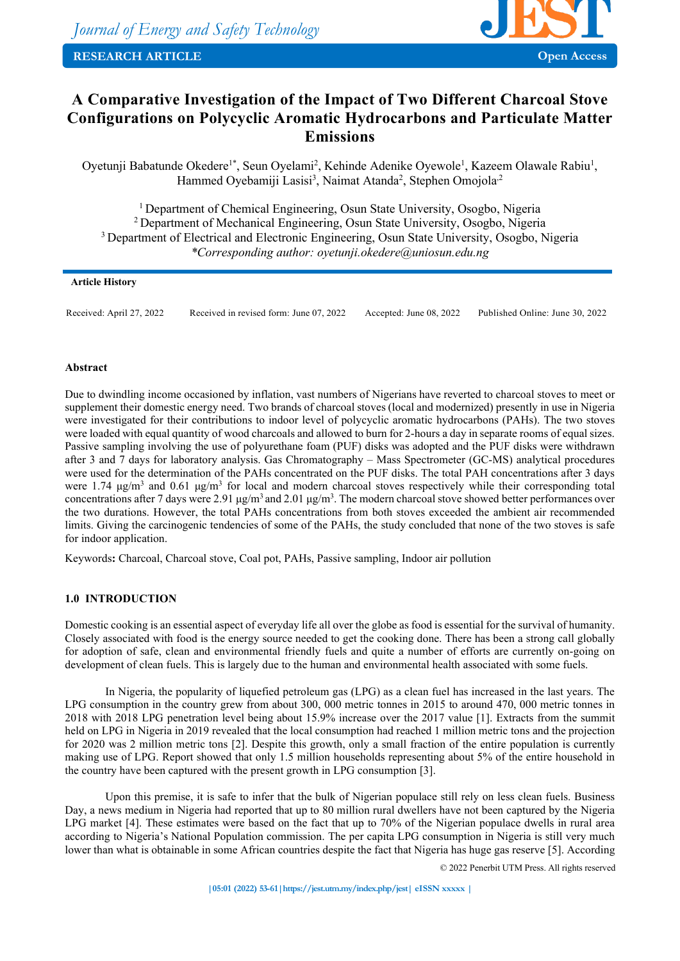

# **A Comparative Investigation of the Impact of Two Different Charcoal Stove Configurations on Polycyclic Aromatic Hydrocarbons and Particulate Matter Emissions**

Oyetunji Babatunde Okedere<sup>1\*</sup>, Seun Oyelami<sup>2</sup>, Kehinde Adenike Oyewole<sup>1</sup>, Kazeem Olawale Rabiu<sup>1</sup>, Hammed Oyebamiji Lasisi<sup>3</sup>, Naimat Atanda<sup>2</sup>, Stephen Omojola<sup>,2</sup>

<sup>1</sup> Department of Chemical Engineering, Osun State University, Osogbo, Nigeria 2 Department of Mechanical Engineering, Osun State University, Osogbo, Nigeria <sup>3</sup> Department of Electrical and Electronic Engineering, Osun State University, Osogbo, Nigeria *\*Corresponding author: oyetunji.okedere@uniosun.edu.ng*

# **Article History**

Received: April 27, 2022 Received in revised form: June 07, 2022 Accepted: June 08, 2022 Published Online: June 30, 2022

# **Abstract**

Due to dwindling income occasioned by inflation, vast numbers of Nigerians have reverted to charcoal stoves to meet or supplement their domestic energy need. Two brands of charcoal stoves (local and modernized) presently in use in Nigeria were investigated for their contributions to indoor level of polycyclic aromatic hydrocarbons (PAHs). The two stoves were loaded with equal quantity of wood charcoals and allowed to burn for 2-hours a day in separate rooms of equal sizes. Passive sampling involving the use of polyurethane foam (PUF) disks was adopted and the PUF disks were withdrawn after 3 and 7 days for laboratory analysis. Gas Chromatography – Mass Spectrometer (GC-MS) analytical procedures were used for the determination of the PAHs concentrated on the PUF disks. The total PAH concentrations after 3 days were 1.74  $\mu$ g/m<sup>3</sup> and 0.61  $\mu$ g/m<sup>3</sup> for local and modern charcoal stoves respectively while their corresponding total concentrations after 7 days were 2.91  $\mu$ g/m<sup>3</sup> and 2.01  $\mu$ g/m<sup>3</sup>. The modern charcoal stove showed better performances over the two durations. However, the total PAHs concentrations from both stoves exceeded the ambient air recommended limits. Giving the carcinogenic tendencies of some of the PAHs, the study concluded that none of the two stoves is safe for indoor application.

Keywords**:** Charcoal, Charcoal stove, Coal pot, PAHs, Passive sampling, Indoor air pollution

# **1.0 INTRODUCTION**

Domestic cooking is an essential aspect of everyday life all over the globe as food is essential for the survival of humanity. Closely associated with food is the energy source needed to get the cooking done. There has been a strong call globally for adoption of safe, clean and environmental friendly fuels and quite a number of efforts are currently on-going on development of clean fuels. This is largely due to the human and environmental health associated with some fuels.

In Nigeria, the popularity of liquefied petroleum gas (LPG) as a clean fuel has increased in the last years. The LPG consumption in the country grew from about 300, 000 metric tonnes in 2015 to around 470, 000 metric tonnes in 2018 with 2018 LPG penetration level being about 15.9% increase over the 2017 value [1]. Extracts from the summit held on LPG in Nigeria in 2019 revealed that the local consumption had reached 1 million metric tons and the projection for 2020 was 2 million metric tons [2]. Despite this growth, only a small fraction of the entire population is currently making use of LPG. Report showed that only 1.5 million households representing about 5% of the entire household in the country have been captured with the present growth in LPG consumption [3].

Upon this premise, it is safe to infer that the bulk of Nigerian populace still rely on less clean fuels. Business Day, a news medium in Nigeria had reported that up to 80 million rural dwellers have not been captured by the Nigeria LPG market [4]. These estimates were based on the fact that up to 70% of the Nigerian populace dwells in rural area according to Nigeria's National Population commission. The per capita LPG consumption in Nigeria is still very much lower than what is obtainable in some African countries despite the fact that Nigeria has huge gas reserve [5]. According

© 2022 Penerbit UTM Press. All rights reserved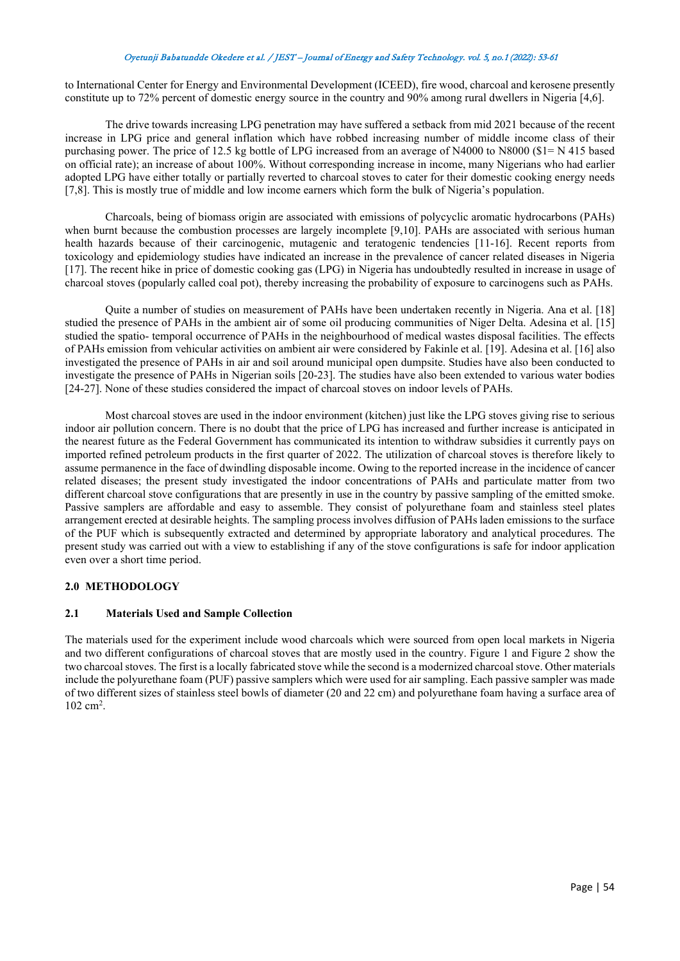to International Center for Energy and Environmental Development (ICEED), fire wood, charcoal and kerosene presently constitute up to 72% percent of domestic energy source in the country and 90% among rural dwellers in Nigeria [4,6].

The drive towards increasing LPG penetration may have suffered a setback from mid 2021 because of the recent increase in LPG price and general inflation which have robbed increasing number of middle income class of their purchasing power. The price of 12.5 kg bottle of LPG increased from an average of N4000 to N8000 (\$1= N 415 based on official rate); an increase of about 100%. Without corresponding increase in income, many Nigerians who had earlier adopted LPG have either totally or partially reverted to charcoal stoves to cater for their domestic cooking energy needs [7,8]. This is mostly true of middle and low income earners which form the bulk of Nigeria's population.

Charcoals, being of biomass origin are associated with emissions of polycyclic aromatic hydrocarbons (PAHs) when burnt because the combustion processes are largely incomplete [9,10]. PAHs are associated with serious human health hazards because of their carcinogenic, mutagenic and teratogenic tendencies [11-16]. Recent reports from toxicology and epidemiology studies have indicated an increase in the prevalence of cancer related diseases in Nigeria [17]. The recent hike in price of domestic cooking gas (LPG) in Nigeria has undoubtedly resulted in increase in usage of charcoal stoves (popularly called coal pot), thereby increasing the probability of exposure to carcinogens such as PAHs.

Quite a number of studies on measurement of PAHs have been undertaken recently in Nigeria. Ana et al. [18] studied the presence of PAHs in the ambient air of some oil producing communities of Niger Delta. Adesina et al. [15] studied the spatio- temporal occurrence of PAHs in the neighbourhood of medical wastes disposal facilities. The effects of PAHs emission from vehicular activities on ambient air were considered by Fakinle et al. [19]. Adesina et al. [16] also investigated the presence of PAHs in air and soil around municipal open dumpsite. Studies have also been conducted to investigate the presence of PAHs in Nigerian soils [20-23]. The studies have also been extended to various water bodies [24-27]. None of these studies considered the impact of charcoal stoves on indoor levels of PAHs.

Most charcoal stoves are used in the indoor environment (kitchen) just like the LPG stoves giving rise to serious indoor air pollution concern. There is no doubt that the price of LPG has increased and further increase is anticipated in the nearest future as the Federal Government has communicated its intention to withdraw subsidies it currently pays on imported refined petroleum products in the first quarter of 2022. The utilization of charcoal stoves is therefore likely to assume permanence in the face of dwindling disposable income. Owing to the reported increase in the incidence of cancer related diseases; the present study investigated the indoor concentrations of PAHs and particulate matter from two different charcoal stove configurations that are presently in use in the country by passive sampling of the emitted smoke. Passive samplers are affordable and easy to assemble. They consist of polyurethane foam and stainless steel plates arrangement erected at desirable heights. The sampling process involves diffusion of PAHs laden emissions to the surface of the PUF which is subsequently extracted and determined by appropriate laboratory and analytical procedures. The present study was carried out with a view to establishing if any of the stove configurations is safe for indoor application even over a short time period.

# **2.0 METHODOLOGY**

# **2.1 Materials Used and Sample Collection**

The materials used for the experiment include wood charcoals which were sourced from open local markets in Nigeria and two different configurations of charcoal stoves that are mostly used in the country. Figure 1 and Figure 2 show the two charcoal stoves. The first is a locally fabricated stove while the second is a modernized charcoal stove. Other materials include the polyurethane foam (PUF) passive samplers which were used for air sampling. Each passive sampler was made of two different sizes of stainless steel bowls of diameter (20 and 22 cm) and polyurethane foam having a surface area of  $102 \text{ cm}^2$ .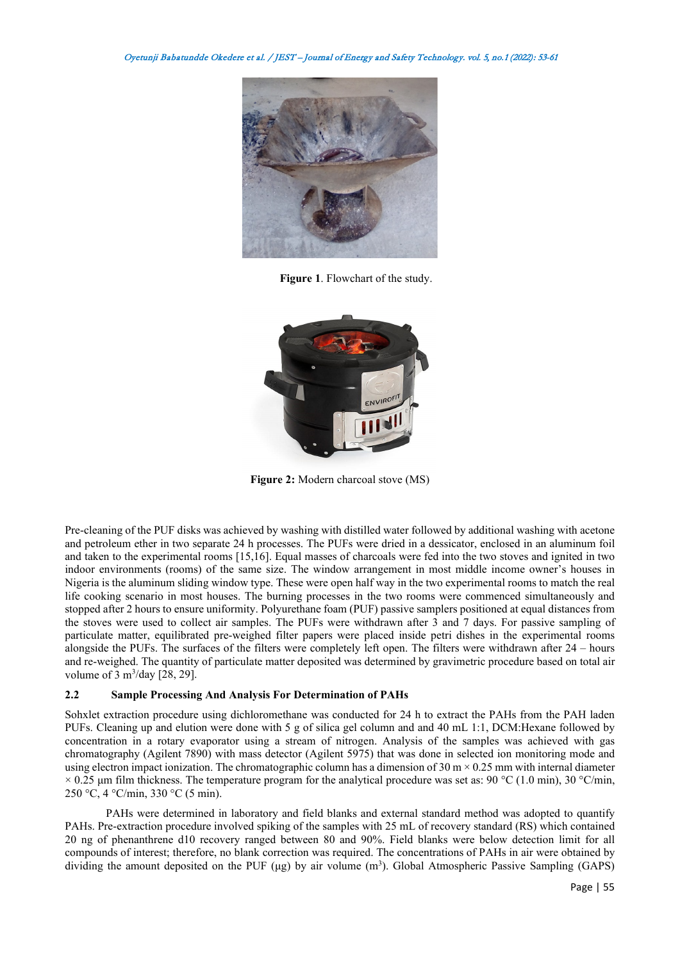

**Figure 1**. Flowchart of the study.



**Figure 2:** Modern charcoal stove (MS)

Pre-cleaning of the PUF disks was achieved by washing with distilled water followed by additional washing with acetone and petroleum ether in two separate 24 h processes. The PUFs were dried in a dessicator, enclosed in an aluminum foil and taken to the experimental rooms [15,16]. Equal masses of charcoals were fed into the two stoves and ignited in two indoor environments (rooms) of the same size. The window arrangement in most middle income owner's houses in Nigeria is the aluminum sliding window type. These were open half way in the two experimental rooms to match the real life cooking scenario in most houses. The burning processes in the two rooms were commenced simultaneously and stopped after 2 hours to ensure uniformity. Polyurethane foam (PUF) passive samplers positioned at equal distances from the stoves were used to collect air samples. The PUFs were withdrawn after 3 and 7 days. For passive sampling of particulate matter, equilibrated pre-weighed filter papers were placed inside petri dishes in the experimental rooms alongside the PUFs. The surfaces of the filters were completely left open. The filters were withdrawn after 24 – hours and re-weighed. The quantity of particulate matter deposited was determined by gravimetric procedure based on total air volume of  $3 \text{ m}^3/\text{day}$  [28, 29].

# **2.2 Sample Processing And Analysis For Determination of PAHs**

Sohxlet extraction procedure using dichloromethane was conducted for 24 h to extract the PAHs from the PAH laden PUFs. Cleaning up and elution were done with 5 g of silica gel column and and 40 mL 1:1, DCM:Hexane followed by concentration in a rotary evaporator using a stream of nitrogen. Analysis of the samples was achieved with gas chromatography (Agilent 7890) with mass detector (Agilent 5975) that was done in selected ion monitoring mode and using electron impact ionization. The chromatographic column has a dimension of  $30 \text{ m} \times 0.25 \text{ mm}$  with internal diameter  $\times$  0.25 µm film thickness. The temperature program for the analytical procedure was set as: 90 °C (1.0 min), 30 °C/min, 250 °C, 4 °C/min, 330 °C (5 min).

PAHs were determined in laboratory and field blanks and external standard method was adopted to quantify PAHs. Pre-extraction procedure involved spiking of the samples with 25 mL of recovery standard (RS) which contained 20 ng of phenanthrene d10 recovery ranged between 80 and 90%. Field blanks were below detection limit for all compounds of interest; therefore, no blank correction was required. The concentrations of PAHs in air were obtained by dividing the amount deposited on the PUF ( $\mu$ g) by air volume  $(m^3)$ . Global Atmospheric Passive Sampling (GAPS)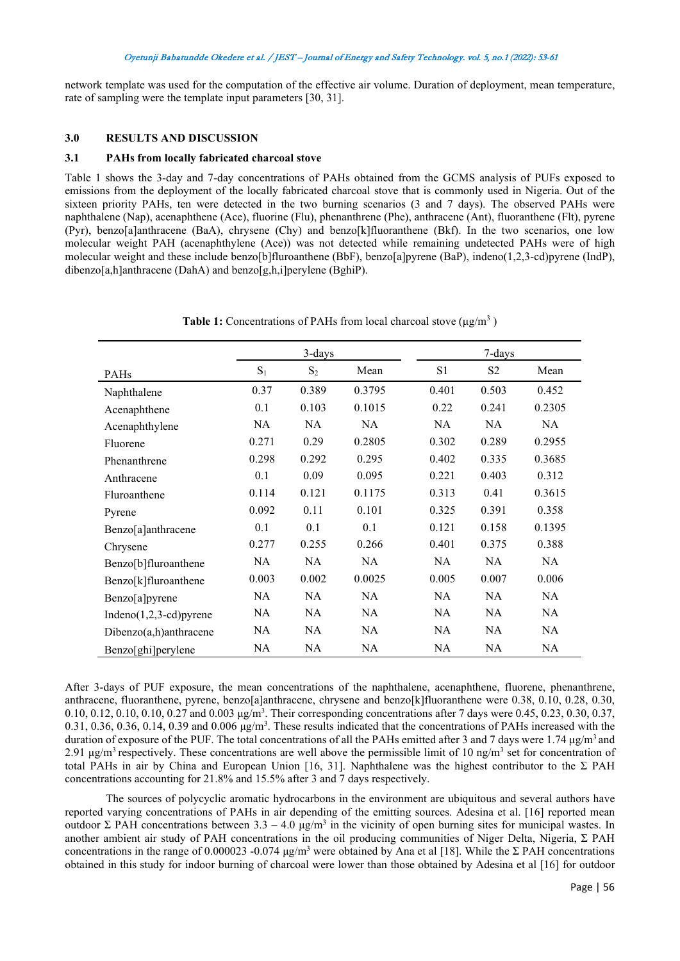network template was used for the computation of the effective air volume. Duration of deployment, mean temperature, rate of sampling were the template input parameters [30, 31].

# **3.0 RESULTS AND DISCUSSION**

# **3.1 PAHs from locally fabricated charcoal stove**

Table 1 shows the 3-day and 7-day concentrations of PAHs obtained from the GCMS analysis of PUFs exposed to emissions from the deployment of the locally fabricated charcoal stove that is commonly used in Nigeria. Out of the sixteen priority PAHs, ten were detected in the two burning scenarios (3 and 7 days). The observed PAHs were naphthalene (Nap), acenaphthene (Ace), fluorine (Flu), phenanthrene (Phe), anthracene (Ant), fluoranthene (Flt), pyrene (Pyr), benzo[a]anthracene (BaA), chrysene (Chy) and benzo[k]fluoranthene (Bkf). In the two scenarios, one low molecular weight PAH (acenaphthylene (Ace)) was not detected while remaining undetected PAHs were of high molecular weight and these include benzo[b]fluroanthene (BbF), benzo[a]pyrene (BaP), indeno(1,2,3-cd)pyrene (IndP), dibenzo[a,h]anthracene (DahA) and benzo[g,h,i]perylene (BghiP).

|                        |           | 3-days    |           |                | 7-days         |           |
|------------------------|-----------|-----------|-----------|----------------|----------------|-----------|
| PAHs                   | $S_1$     | $S_2$     | Mean      | S <sub>1</sub> | S <sub>2</sub> | Mean      |
| Naphthalene            | 0.37      | 0.389     | 0.3795    | 0.401          | 0.503          | 0.452     |
| Acenaphthene           | 0.1       | 0.103     | 0.1015    | 0.22           | 0.241          | 0.2305    |
| Acenaphthylene         | NA        | <b>NA</b> | <b>NA</b> | NA.            | NA.            | <b>NA</b> |
| Fluorene               | 0.271     | 0.29      | 0.2805    | 0.302          | 0.289          | 0.2955    |
| Phenanthrene           | 0.298     | 0.292     | 0.295     | 0.402          | 0.335          | 0.3685    |
| Anthracene             | 0.1       | 0.09      | 0.095     | 0.221          | 0.403          | 0.312     |
| Fluroanthene           | 0.114     | 0.121     | 0.1175    | 0.313          | 0.41           | 0.3615    |
| Pyrene                 | 0.092     | 0.11      | 0.101     | 0.325          | 0.391          | 0.358     |
| Benzo[a]anthracene     | 0.1       | 0.1       | 0.1       | 0.121          | 0.158          | 0.1395    |
| Chrysene               | 0.277     | 0.255     | 0.266     | 0.401          | 0.375          | 0.388     |
| Benzo[b]fluroanthene   | <b>NA</b> | <b>NA</b> | <b>NA</b> | NA.            | NA.            | <b>NA</b> |
| Benzo[k]fluroanthene   | 0.003     | 0.002     | 0.0025    | 0.005          | 0.007          | 0.006     |
| Benzo[a]pyrene         | NA        | NA        | <b>NA</b> | NA.            | NA.            | NA        |
| Indeno(1,2,3-cd)pyrene | NA        | NA        | <b>NA</b> | NA.            | NA.            | NA        |
| Dibenzo(a,h)anthracene | NA        | NA        | <b>NA</b> | NA.            | NA.            | NA        |
| Benzo[ghi]perylene     | NA        | NA        | NA        | NA             | NA.            | NA        |

**Table 1:** Concentrations of PAHs from local charcoal stove (μg/m<sup>3</sup> )

After 3-days of PUF exposure, the mean concentrations of the naphthalene, acenaphthene, fluorene, phenanthrene, anthracene, fluoranthene, pyrene, benzo[a]anthracene, chrysene and benzo[k]fluoranthene were 0.38, 0.10, 0.28, 0.30, 0.10, 0.12, 0.10, 0.10, 0.27 and 0.003  $\mu$ g/m<sup>3</sup>. Their corresponding concentrations after 7 days were 0.45, 0.23, 0.30, 0.37,  $0.31, 0.36, 0.36, 0.14, 0.39$  and  $0.006 \mu g/m<sup>3</sup>$ . These results indicated that the concentrations of PAHs increased with the duration of exposure of the PUF. The total concentrations of all the PAHs emitted after 3 and 7 days were 1.74  $\mu$ g/m<sup>3</sup> and 2.91 μg/m<sup>3</sup> respectively. These concentrations are well above the permissible limit of 10 ng/m<sup>3</sup> set for concentration of total PAHs in air by China and European Union [16, 31]. Naphthalene was the highest contributor to the  $\Sigma$  PAH concentrations accounting for 21.8% and 15.5% after 3 and 7 days respectively.

The sources of polycyclic aromatic hydrocarbons in the environment are ubiquitous and several authors have reported varying concentrations of PAHs in air depending of the emitting sources. Adesina et al. [16] reported mean outdoor Σ PAH concentrations between  $3.3 - 4.0 \mu g/m^3$  in the vicinity of open burning sites for municipal wastes. In another ambient air study of PAH concentrations in the oil producing communities of Niger Delta, Nigeria,  $\Sigma$  PAH concentrations in the range of 0.000023 -0.074  $\mu$ g/m<sup>3</sup> were obtained by Ana et al [18]. While the  $\Sigma$  PAH concentrations obtained in this study for indoor burning of charcoal were lower than those obtained by Adesina et al [16] for outdoor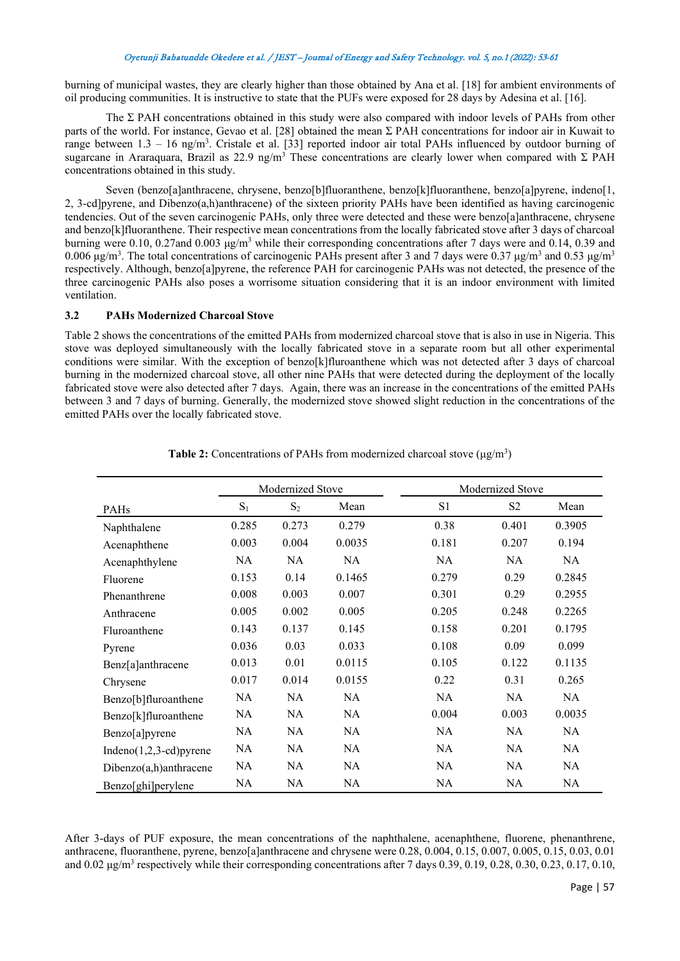burning of municipal wastes, they are clearly higher than those obtained by Ana et al. [18] for ambient environments of oil producing communities. It is instructive to state that the PUFs were exposed for 28 days by Adesina et al. [16].

The  $\Sigma$  PAH concentrations obtained in this study were also compared with indoor levels of PAHs from other parts of the world. For instance, Gevao et al. [28] obtained the mean  $\Sigma$  PAH concentrations for indoor air in Kuwait to range between  $1.3 - 16$  ng/m<sup>3</sup>. Cristale et al. [33] reported indoor air total PAHs influenced by outdoor burning of sugarcane in Araraquara, Brazil as 22.9 ng/m<sup>3</sup> These concentrations are clearly lower when compared with  $\Sigma$  PAH concentrations obtained in this study.

Seven (benzo[a]anthracene, chrysene, benzo[b]fluoranthene, benzo[k]fluoranthene, benzo[a]pyrene, indeno[1, 2, 3-cd]pyrene, and Dibenzo(a,h)anthracene) of the sixteen priority PAHs have been identified as having carcinogenic tendencies. Out of the seven carcinogenic PAHs, only three were detected and these were benzo[a]anthracene, chrysene and benzo[k]fluoranthene. Their respective mean concentrations from the locally fabricated stove after 3 days of charcoal burning were 0.10, 0.27and 0.003 μg/m<sup>3</sup> while their corresponding concentrations after 7 days were and 0.14, 0.39 and 0.006 μg/m<sup>3</sup>. The total concentrations of carcinogenic PAHs present after 3 and 7 days were 0.37 μg/m<sup>3</sup> and 0.53 μg/m<sup>3</sup> respectively. Although, benzo[a]pyrene, the reference PAH for carcinogenic PAHs was not detected, the presence of the three carcinogenic PAHs also poses a worrisome situation considering that it is an indoor environment with limited ventilation.

# **3.2 PAHs Modernized Charcoal Stove**

Table 2 shows the concentrations of the emitted PAHs from modernized charcoal stove that is also in use in Nigeria. This stove was deployed simultaneously with the locally fabricated stove in a separate room but all other experimental conditions were similar. With the exception of benzo[k]fluroanthene which was not detected after 3 days of charcoal burning in the modernized charcoal stove, all other nine PAHs that were detected during the deployment of the locally fabricated stove were also detected after 7 days. Again, there was an increase in the concentrations of the emitted PAHs between 3 and 7 days of burning. Generally, the modernized stove showed slight reduction in the concentrations of the emitted PAHs over the locally fabricated stove.

|                          | Modernized Stove |           |           |       | Modernized Stove |        |  |
|--------------------------|------------------|-----------|-----------|-------|------------------|--------|--|
| PAHs                     | $S_1$            | $S_2$     | Mean      | S1    | S <sub>2</sub>   | Mean   |  |
| Naphthalene              | 0.285            | 0.273     | 0.279     | 0.38  | 0.401            | 0.3905 |  |
| Acenaphthene             | 0.003            | 0.004     | 0.0035    | 0.181 | 0.207            | 0.194  |  |
| Acenaphthylene           | NA               | <b>NA</b> | <b>NA</b> | NA    | NA               | NA     |  |
| Fluorene                 | 0.153            | 0.14      | 0.1465    | 0.279 | 0.29             | 0.2845 |  |
| Phenanthrene             | 0.008            | 0.003     | 0.007     | 0.301 | 0.29             | 0.2955 |  |
| Anthracene               | 0.005            | 0.002     | 0.005     | 0.205 | 0.248            | 0.2265 |  |
| Fluroanthene             | 0.143            | 0.137     | 0.145     | 0.158 | 0.201            | 0.1795 |  |
| Pyrene                   | 0.036            | 0.03      | 0.033     | 0.108 | 0.09             | 0.099  |  |
| Benz[a]anthracene        | 0.013            | 0.01      | 0.0115    | 0.105 | 0.122            | 0.1135 |  |
| Chrysene                 | 0.017            | 0.014     | 0.0155    | 0.22  | 0.31             | 0.265  |  |
| Benzo[b]fluroanthene     | NA               | <b>NA</b> | NA        | NA    | NA               | NA     |  |
| Benzo[k]fluroanthene     | NA               | <b>NA</b> | <b>NA</b> | 0.004 | 0.003            | 0.0035 |  |
| Benzo[a]pyrene           | NA               | <b>NA</b> | <b>NA</b> | NA    | <b>NA</b>        | NA     |  |
| $Indeno(1,2,3-cd)pyrene$ | NA               | <b>NA</b> | <b>NA</b> | NA    | <b>NA</b>        | NA     |  |
| Dibenzo(a,h)anthracene   | NA               | <b>NA</b> | <b>NA</b> | NA    | <b>NA</b>        | NA     |  |
| Benzo[ghi]perylene       | NA               | NA        | NA        | NA    | NA               | NA.    |  |

| Table 2: Concentrations of PAHs from modernized charcoal stove $(\mu g/m^3)$ |  |  |  |
|------------------------------------------------------------------------------|--|--|--|
|------------------------------------------------------------------------------|--|--|--|

After 3-days of PUF exposure, the mean concentrations of the naphthalene, acenaphthene, fluorene, phenanthrene, anthracene, fluoranthene, pyrene, benzo[a]anthracene and chrysene were 0.28, 0.004, 0.15, 0.007, 0.005, 0.15, 0.03, 0.01 and  $0.02 \mu\text{g/m}^3$  respectively while their corresponding concentrations after 7 days  $0.39, 0.19, 0.28, 0.30, 0.23, 0.17, 0.10$ ,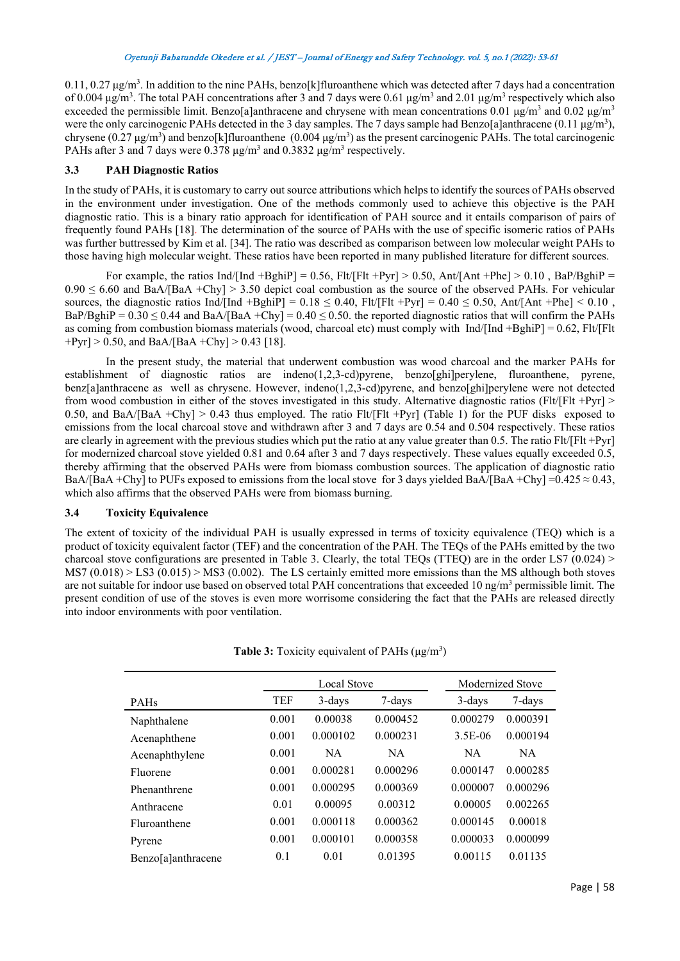$0.11, 0.27 \,\mu$ g/m<sup>3</sup>. In addition to the nine PAHs, benzo[k] fluroanthene which was detected after 7 days had a concentration of 0.004 μg/m<sup>3</sup>. The total PAH concentrations after 3 and 7 days were 0.61 μg/m<sup>3</sup> and 2.01 μg/m<sup>3</sup> respectively which also exceeded the permissible limit. Benzo[a]anthracene and chrysene with mean concentrations 0.01  $\mu$ g/m<sup>3</sup> and 0.02  $\mu$ g/m<sup>3</sup> were the only carcinogenic PAHs detected in the 3 day samples. The 7 days sample had Benzo[a]anthracene (0.11  $\mu$ g/m<sup>3</sup>), chrysene  $(0.27 \mu g/m^3)$  and benzo[k]fluroanthene  $(0.004 \mu g/m^3)$  as the present carcinogenic PAHs. The total carcinogenic PAHs after 3 and 7 days were  $0.378 \mu g/m^3$  and  $0.3832 \mu g/m^3$  respectively.

# **3.3 PAH Diagnostic Ratios**

In the study of PAHs, it is customary to carry out source attributions which helps to identify the sources of PAHs observed in the environment under investigation. One of the methods commonly used to achieve this objective is the PAH diagnostic ratio. This is a binary ratio approach for identification of PAH source and it entails comparison of pairs of frequently found PAHs [18]. The determination of the source of PAHs with the use of specific isomeric ratios of PAHs was further buttressed by Kim et al. [34]. The ratio was described as comparison between low molecular weight PAHs to those having high molecular weight. These ratios have been reported in many published literature for different sources.

For example, the ratios Ind/[Ind +BghiP] = 0.56, Flt/[Flt +Pyr] > 0.50, Ant/[Ant +Phe] > 0.10, BaP/BghiP =  $0.90 \le 6.60$  and BaA/[BaA +Chy] > 3.50 depict coal combustion as the source of the observed PAHs. For vehicular sources, the diagnostic ratios Ind/[Ind +BghiP] =  $0.18 \le 0.40$ , Flt/[Flt +Pyr] =  $0.40 \le 0.50$ , Ant/[Ant +Phe] <  $0.10$ , BaP/BghiP =  $0.30 \le 0.44$  and BaA/[BaA +Chy] =  $0.40 \le 0.50$ . the reported diagnostic ratios that will confirm the PAHs as coming from combustion biomass materials (wood, charcoal etc) must comply with Ind/[Ind +BghiP] =  $0.62$ , Flt/[Flt  $+Pyr$  > 0.50, and BaA/[BaA +Chy] > 0.43 [18].

In the present study, the material that underwent combustion was wood charcoal and the marker PAHs for establishment of diagnostic ratios are indeno(1,2,3-cd)pyrene, benzo[ghi]perylene, fluroanthene, pyrene, benz[a]anthracene as well as chrysene. However, indeno(1,2,3-cd)pyrene, and benzo[ghi]perylene were not detected from wood combustion in either of the stoves investigated in this study. Alternative diagnostic ratios (Flt/[Flt +Pyr] > 0.50, and BaA/[BaA +Chy] > 0.43 thus employed. The ratio Flt/[Flt +Pyr] (Table 1) for the PUF disks exposed to emissions from the local charcoal stove and withdrawn after 3 and 7 days are 0.54 and 0.504 respectively. These ratios are clearly in agreement with the previous studies which put the ratio at any value greater than 0.5. The ratio Flt/[Flt +Pyr] for modernized charcoal stove yielded 0.81 and 0.64 after 3 and 7 days respectively. These values equally exceeded 0.5, thereby affirming that the observed PAHs were from biomass combustion sources. The application of diagnostic ratio BaA/[BaA +Chy] to PUFs exposed to emissions from the local stove for 3 days yielded BaA/[BaA +Chy] =0.425  $\approx$  0.43, which also affirms that the observed PAHs were from biomass burning.

#### **3.4 Toxicity Equivalence**

The extent of toxicity of the individual PAH is usually expressed in terms of toxicity equivalence (TEQ) which is a product of toxicity equivalent factor (TEF) and the concentration of the PAH. The TEQs of the PAHs emitted by the two charcoal stove configurations are presented in Table 3. Clearly, the total TEQs (TTEQ) are in the order LS7  $(0.024)$  >  $MS7 (0.018) > LS3 (0.015) > MS3 (0.002)$ . The LS certainly emitted more emissions than the MS although both stoves are not suitable for indoor use based on observed total PAH concentrations that exceeded 10 ng/m<sup>3</sup> permissible limit. The present condition of use of the stoves is even more worrisome considering the fact that the PAHs are released directly into indoor environments with poor ventilation.

|                    | <b>Local Stove</b> |          |           | Modernized Stove |           |  |
|--------------------|--------------------|----------|-----------|------------------|-----------|--|
| PAHs               | <b>TEF</b>         | 3-days   | 7-days    | 3-days           | 7-days    |  |
| Naphthalene        | 0.001              | 0.00038  | 0.000452  | 0.000279         | 0.000391  |  |
| Acenaphthene       | 0.001              | 0.000102 | 0.000231  | 3.5E-06          | 0.000194  |  |
| Acenaphthylene     | 0.001              | NA.      | <b>NA</b> | <b>NA</b>        | <b>NA</b> |  |
| Fluorene           | 0.001              | 0.000281 | 0.000296  | 0.000147         | 0.000285  |  |
| Phenanthrene       | 0.001              | 0.000295 | 0.000369  | 0.000007         | 0.000296  |  |
| Anthracene         | 0.01               | 0.00095  | 0.00312   | 0.00005          | 0.002265  |  |
| Fluroanthene       | 0.001              | 0.000118 | 0.000362  | 0.000145         | 0.00018   |  |
| Pyrene             | 0.001              | 0.000101 | 0.000358  | 0.000033         | 0.000099  |  |
| Benzo[a]anthracene | 0.1                | 0.01     | 0.01395   | 0.00115          | 0.01135   |  |

Table 3: Toxicity equivalent of PAHs (μg/m<sup>3</sup>)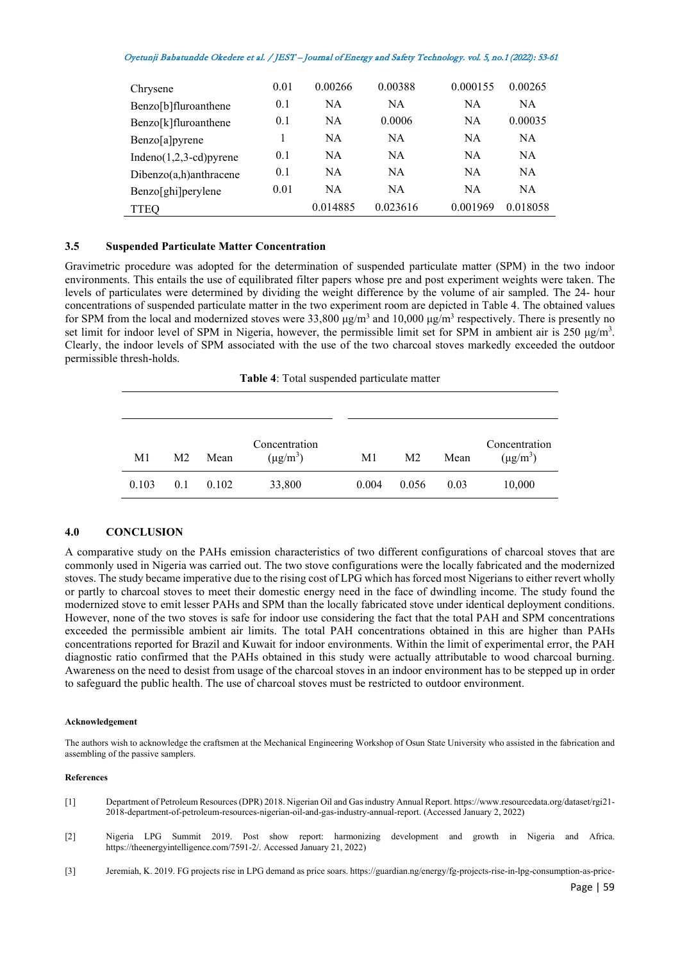| Chrysene                    | 0.01 | 0.00266  | 0.00388   | 0.000155 | 0.00265   |
|-----------------------------|------|----------|-----------|----------|-----------|
| Benzo[b]fluroanthene        | 0.1  | NA       | <b>NA</b> | NA       | NA.       |
| Benzo[k]fluroanthene        | 0.1  | NA.      | 0.0006    | NA       | 0.00035   |
| Benzo[a]pyrene              |      | NA.      | <b>NA</b> | NA       | <b>NA</b> |
| Indeno $(1,2,3$ -cd) pyrene | 0.1  | NA       | <b>NA</b> | NA       | <b>NA</b> |
| Dibenzo(a,h)anthracene      | 0.1  | NA.      | <b>NA</b> | NA       | NA.       |
| Benzo[ghi]perylene          | 0.01 | NA       | <b>NA</b> | NA       | NA.       |
| <b>TTEO</b>                 |      | 0.014885 | 0.023616  | 0.001969 | 0.018058  |

#### **3.5 Suspended Particulate Matter Concentration**

Gravimetric procedure was adopted for the determination of suspended particulate matter (SPM) in the two indoor environments. This entails the use of equilibrated filter papers whose pre and post experiment weights were taken. The levels of particulates were determined by dividing the weight difference by the volume of air sampled. The 24- hour concentrations of suspended particulate matter in the two experiment room are depicted in Table 4. The obtained values for SPM from the local and modernized stoves were 33,800  $\mu$ g/m<sup>3</sup> and 10,000  $\mu$ g/m<sup>3</sup> respectively. There is presently no set limit for indoor level of SPM in Nigeria, however, the permissible limit set for SPM in ambient air is 250  $\mu$ g/m<sup>3</sup>. Clearly, the indoor levels of SPM associated with the use of the two charcoal stoves markedly exceeded the outdoor permissible thresh-holds.

**Table 4**: Total suspended particulate matter

| M1    | M <sub>2</sub> | Mean  | Concentration<br>$(\mu g/m^3)$ | M1    | M <sub>2</sub> | Mean | Concentration<br>$(\mu g/m^3)$ |
|-------|----------------|-------|--------------------------------|-------|----------------|------|--------------------------------|
| 0.103 | 0.1            | 0.102 | 33,800                         | 0.004 | 0.056          | 0.03 | 10,000                         |

# **4.0 CONCLUSION**

A comparative study on the PAHs emission characteristics of two different configurations of charcoal stoves that are commonly used in Nigeria was carried out. The two stove configurations were the locally fabricated and the modernized stoves. The study became imperative due to the rising cost of LPG which has forced most Nigerians to either revert wholly or partly to charcoal stoves to meet their domestic energy need in the face of dwindling income. The study found the modernized stove to emit lesser PAHs and SPM than the locally fabricated stove under identical deployment conditions. However, none of the two stoves is safe for indoor use considering the fact that the total PAH and SPM concentrations exceeded the permissible ambient air limits. The total PAH concentrations obtained in this are higher than PAHs concentrations reported for Brazil and Kuwait for indoor environments. Within the limit of experimental error, the PAH diagnostic ratio confirmed that the PAHs obtained in this study were actually attributable to wood charcoal burning. Awareness on the need to desist from usage of the charcoal stoves in an indoor environment has to be stepped up in order to safeguard the public health. The use of charcoal stoves must be restricted to outdoor environment.

#### **Acknowledgement**

The authors wish to acknowledge the craftsmen at the Mechanical Engineering Workshop of Osun State University who assisted in the fabrication and assembling of the passive samplers.

#### **References**

- [1] Department of Petroleum Resources (DPR) 2018. Nigerian Oil and Gas industry Annual Report. https://www.resourcedata.org/dataset/rgi21- 2018-department-of-petroleum-resources-nigerian-oil-and-gas-industry-annual-report. (Accessed January 2, 2022)
- [2] Nigeria LPG Summit 2019. Post show report: harmonizing development and growth in Nigeria and Africa. https://theenergyintelligence.com/7591-2/. Accessed January 21, 2022)
- [3] Jeremiah, K. 2019. FG projects rise in LPG demand as price soars. https://guardian.ng/energy/fg-projects-rise-in-lpg-consumption-as-price-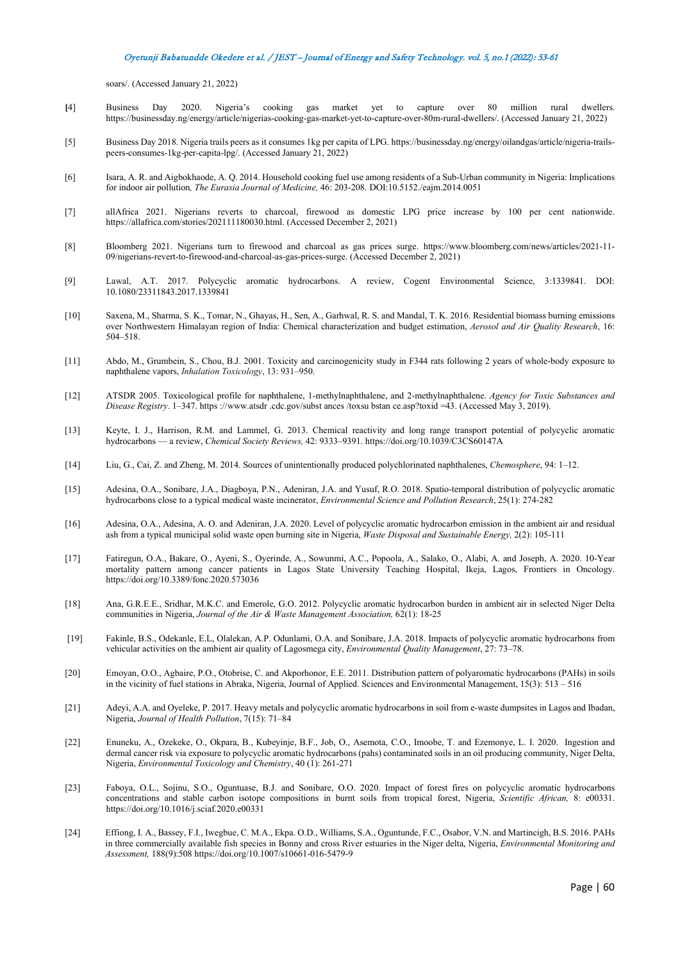soars/. (Accessed January 21, 2022)

- **[**4] Business Day 2020. Nigeria's cooking gas market yet to capture over 80 million rural dwellers. https://businessday.ng/energy/article/nigerias-cooking-gas-market-yet-to-capture-over-80m-rural-dwellers/. (Accessed January 21, 2022)
- [5] Business Day 2018. Nigeria trails peers as it consumes 1kg per capita of LPG. https://businessday.ng/energy/oilandgas/article/nigeria-trailspeers-consumes-1kg-per-capita-lpg/. (Accessed January 21, 2022)
- [6] Isara, A. R. and Aigbokhaode, A. Q. 2014. Household cooking fuel use among residents of a Sub-Urban community in Nigeria: Implications for indoor air pollution*, The Eurasia Journal of Medicine,* 46: 203-208. DOI:10.5152./eajm.2014.0051
- [7] allAfrica 2021. Nigerians reverts to charcoal, firewood as domestic LPG price increase by 100 per cent nationwide. https://allafrica.com/stories/202111180030.html. (Accessed December 2, 2021)
- [8] Bloomberg 2021. Nigerians turn to firewood and charcoal as gas prices surge. https://www.bloomberg.com/news/articles/2021-11- 09/nigerians-revert-to-firewood-and-charcoal-as-gas-prices-surge. (Accessed December 2, 2021)
- [9] Lawal, A.T. 2017. Polycyclic aromatic hydrocarbons. A review, Cogent Environmental Science, 3:1339841. DOI: 10.1080/23311843.2017.1339841
- [10] Saxena, M., Sharma, S. K., Tomar, N., Ghayas, H., Sen, A., Garhwal, R. S. and Mandal, T. K. 2016. Residential biomass burning emissions over Northwestern Himalayan region of India: Chemical characterization and budget estimation, *Aerosol and Air Quality Research*, 16: 504–518.
- [11] Abdo, M., Grumbein, S., Chou, B.J. 2001. Toxicity and carcinogenicity study in F344 rats following 2 years of whole-body exposure to naphthalene vapors, *Inhalation Toxicology*, 13: 931–950.
- [12] ATSDR 2005. Toxicological profile for naphthalene, 1-methylnaphthalene, and 2-methylnaphthalene. *Agency for Toxic Substances and Disease Registry*. 1–347. https ://www.atsdr .cdc.gov/subst ances /toxsu bstan ce.asp?toxid =43. (Accessed May 3, 2019).
- [13] Keyte, I. J., Harrison, R.M. and Lammel, G. 2013. Chemical reactivity and long range transport potential of polycyclic aromatic hydrocarbons — a review, *Chemical Society Reviews,* 42: 9333–9391. https://doi.org/10.1039/C3CS60147A
- [14] Liu, G., Cai, Z. and Zheng, M. 2014. Sources of unintentionally produced polychlorinated naphthalenes, *Chemosphere*, 94: 1–12.
- [15] Adesina, O.A., Sonibare, J.A., Diagboya, P.N., Adeniran, J.A. and Yusuf, R.O. 2018. Spatio-temporal distribution of polycyclic aromatic hydrocarbons close to a typical medical waste incinerator, *Environmental Science and Pollution Research*, 25(1): 274-282
- [16] Adesina, O.A., Adesina, A. O. and Adeniran, J.A. 2020. Level of polycyclic aromatic hydrocarbon emission in the ambient air and residual ash from a typical municipal solid waste open burning site in Nigeria, *Waste Disposal and Sustainable Energy,* 2(2): 105-111
- [17] Fatiregun, O.A., Bakare, O., Ayeni, S., Oyerinde, A., Sowunmi, A.C., Popoola, A., Salako, O., Alabi, A. and Joseph, A. 2020. 10-Year mortality pattern among cancer patients in Lagos State University Teaching Hospital, Ikeja, Lagos, Frontiers in Oncology. https://doi.org/10.3389/fonc.2020.573036
- [18] Ana, G.R.E.E., Sridhar, M.K.C. and Emerole, G.O. 2012. Polycyclic aromatic hydrocarbon burden in ambient air in selected Niger Delta communities in Nigeria, *Journal of the Air & Waste Management Association*, 62(1): 18-25
- [19] Fakinle, B.S., Odekanle, E.L, Olalekan, A.P. Odunlami, O.A. and Sonibare, J.A. 2018. Impacts of polycyclic aromatic hydrocarbons from vehicular activities on the ambient air quality of Lagosmega city, *Environmental Quality Management*, 27: 73–78.
- [20] Emoyan, O.O., Agbaire, P.O., Otobrise, C. and Akporhonor, E.E. 2011. Distribution pattern of polyaromatic hydrocarbons (PAHs) in soils in the vicinity of fuel stations in Abraka, Nigeria, Journal of Applied. Sciences and Environmental Management, 15(3): 513 – 516
- [21] Adeyi, A.A. and Oyeleke, P. 2017. Heavy metals and polycyclic aromatic hydrocarbons in soil from e-waste dumpsites in Lagos and Ibadan, Nigeria, *Journal of Health Pollution*, 7(15): 71–84
- [22] Enuneku, A., Ozekeke, O., Okpara, B., Kubeyinje, B.F., Job, O., Asemota, C.O., Imoobe, T. and Ezemonye, L. I. 2020. Ingestion and dermal cancer risk via exposure to polycyclic aromatic hydrocarbons (pahs) contaminated soils in an oil producing community, Niger Delta, Nigeria, *Environmental Toxicology and Chemistry*, 40 (1): 261-271
- [23] Faboya, O.L., Sojinu, S.O., Oguntuase, B.J. and Sonibare, O.O. 2020. Impact of forest fires on polycyclic aromatic hydrocarbons concentrations and stable carbon isotope compositions in burnt soils from tropical forest, Nigeria, *Scientific African,* 8: e00331. https://doi.org/10.1016/j.sciaf.2020.e00331
- [24] Effiong, I. A., Bassey, F.I., Iwegbue, C. M.A., Ekpa. O.D., Williams, S.A., Oguntunde, F.C., Osabor, V.N. and Martincigh, B.S. 2016. PAHs in three commercially available fish species in Bonny and cross River estuaries in the Niger delta, Nigeria, *Environmental Monitoring and Assessment,* 188(9):508 https://doi.org/10.1007/s10661-016-5479-9